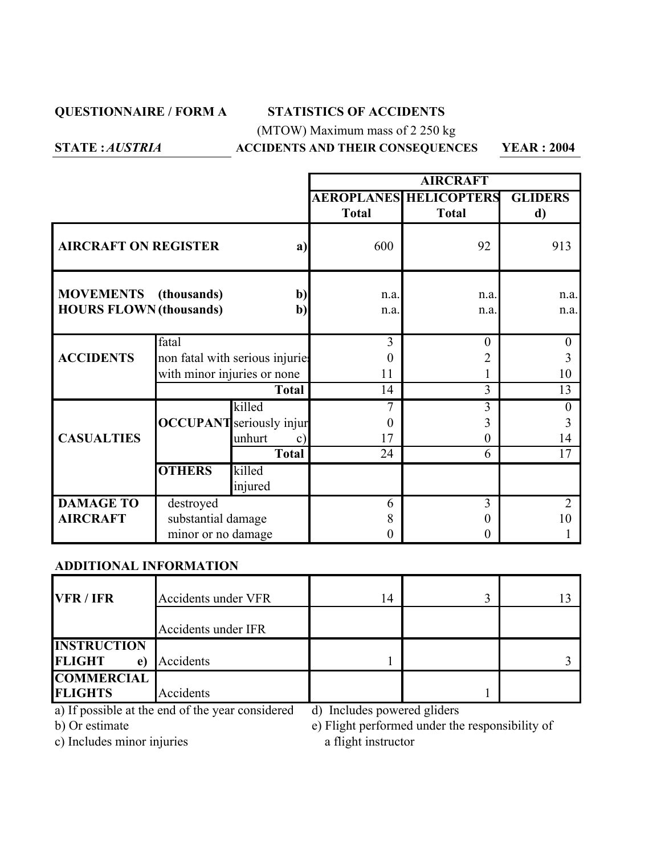### **QUESTIONNAIRE / FORM A STATISTICS OF ACCIDENTS**

(MTOW) Maximum mass of 2 250 kg

*AUSTRIA*

## **STATE : ACCIDENTS AND THEIR CONSEQUENCES YEAR : 2004**

|                                                                                       |                                                                         |                                                                                      | <b>AIRCRAFT</b> |                                               |                           |
|---------------------------------------------------------------------------------------|-------------------------------------------------------------------------|--------------------------------------------------------------------------------------|-----------------|-----------------------------------------------|---------------------------|
|                                                                                       |                                                                         |                                                                                      | <b>Total</b>    | <b>AEROPLANES HELICOPTERS</b><br><b>Total</b> | <b>GLIDERS</b><br>d)      |
| <b>AIRCRAFT ON REGISTER</b><br>a)                                                     |                                                                         | 600                                                                                  | 92              | 913                                           |                           |
| <b>MOVEMENTS</b> (thousands)<br>$b$<br><b>HOURS FLOWN (thousands)</b><br>$\mathbf{b}$ |                                                                         | n.a.<br>n.a.                                                                         | n.a.<br>n.a.    | n.a.<br>n.a.                                  |                           |
| <b>ACCIDENTS</b>                                                                      | fatal<br>non fatal with serious injuries<br>with minor injuries or none |                                                                                      | 3<br>0<br>11    | $\theta$<br>2                                 | $\theta$<br>3<br>10       |
| <b>CASUALTIES</b>                                                                     |                                                                         | <b>Total</b><br>killed<br><b>OCCUPANT</b> seriously injur<br>unhurt<br>$\mathbf{c})$ | 14<br>0<br>17   | 3<br>3<br>3<br>0                              | 13<br>$\Omega$<br>3<br>14 |
|                                                                                       | <b>OTHERS</b>                                                           | <b>Total</b><br>killed<br>injured                                                    | 24              | 6                                             | 17                        |
| <b>DAMAGE TO</b><br><b>AIRCRAFT</b>                                                   | destroyed<br>substantial damage<br>minor or no damage                   |                                                                                      | 6<br>8<br>0     | 3<br>$\mathbf{\Omega}$<br>$_{0}$              | $\overline{2}$<br>10      |

### **ADDITIONAL INFORMATION**

| VFR / IFR           | <b>Accidents under VFR</b> | 14 |  |
|---------------------|----------------------------|----|--|
|                     | Accidents under IFR        |    |  |
| <b>INSTRUCTION</b>  |                            |    |  |
| <b>FLIGHT</b><br>e) | Accidents                  |    |  |
| <b>COMMERCIAL</b>   |                            |    |  |
| <b>FLIGHTS</b>      | Accidents                  |    |  |

a) If possible at the end of the year considered d) Includes powered gliders

b) Or estimate e) Flight performed under the responsibility of

c) Includes minor injuries a flight instructor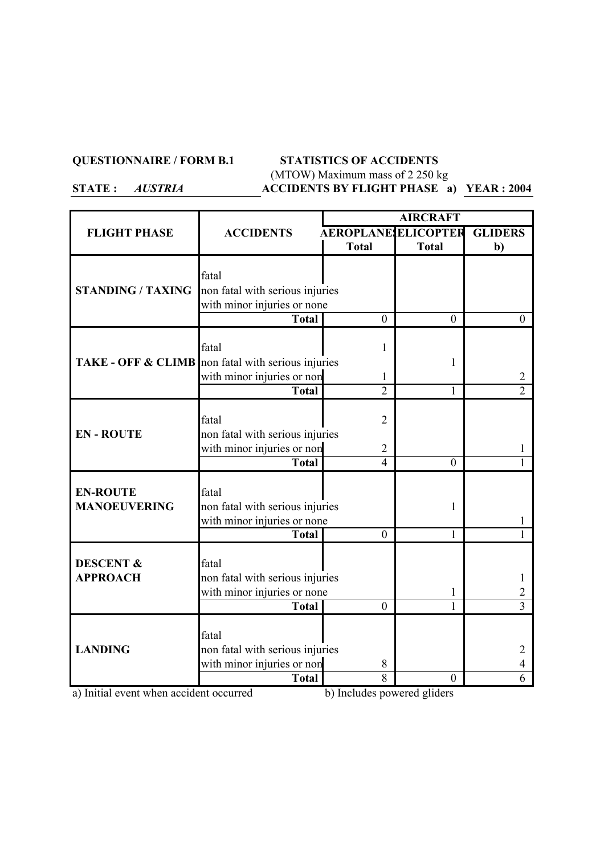#### **QUESTIONNAIRE / FORM B.1 STATISTICS OF ACCIDENTS**

# (MTOW) Maximum mass of 2 250 kg

*AUSTRIA*

# **ACCIDENTS BY FLIGHT PHASE <sup>a</sup>) YEAR : 2004**

|                                                    |                                                                | <b>AIRCRAFT</b>                  |                |                |
|----------------------------------------------------|----------------------------------------------------------------|----------------------------------|----------------|----------------|
| <b>FLIGHT PHASE</b>                                | <b>ACCIDENTS</b>                                               | <b>AEROPLANE ELICOPTER</b>       |                | <b>GLIDERS</b> |
|                                                    |                                                                | <b>Total</b>                     | <b>Total</b>   | $\mathbf{b}$   |
|                                                    |                                                                |                                  |                |                |
|                                                    | fatal                                                          |                                  |                |                |
| <b>STANDING / TAXING</b>                           | non fatal with serious injuries                                |                                  |                |                |
|                                                    | with minor injuries or none                                    |                                  |                |                |
|                                                    | <b>Total</b>                                                   | $\theta$                         | $\theta$       | $\mathbf{0}$   |
|                                                    |                                                                |                                  |                |                |
|                                                    | fatal                                                          | 1                                |                |                |
| TAKE - OFF & CLIMB non fatal with serious injuries |                                                                |                                  | 1              |                |
|                                                    | with minor injuries or non                                     | 1                                |                | 2              |
|                                                    | <b>Total</b>                                                   | $\overline{2}$                   | $\mathbf{1}$   | $\overline{2}$ |
|                                                    |                                                                |                                  |                |                |
|                                                    | fatal                                                          | $\overline{2}$                   |                |                |
| <b>EN-ROUTE</b>                                    | non fatal with serious injuries                                |                                  |                |                |
|                                                    | with minor injuries or non<br><b>Total</b>                     | $\overline{2}$<br>$\overline{4}$ | $\theta$       |                |
|                                                    |                                                                |                                  |                |                |
| <b>EN-ROUTE</b>                                    | fatal                                                          |                                  |                |                |
| <b>MANOEUVERING</b>                                |                                                                |                                  |                |                |
|                                                    | non fatal with serious injuries<br>with minor injuries or none |                                  | 1              |                |
|                                                    | <b>Total</b>                                                   | $\theta$                         | $\mathbf{1}$   |                |
|                                                    |                                                                |                                  |                |                |
| <b>DESCENT &amp;</b>                               | fatal                                                          |                                  |                |                |
| <b>APPROACH</b>                                    | non fatal with serious injuries                                |                                  |                |                |
|                                                    | with minor injuries or none                                    |                                  | 1              | 2              |
|                                                    | <b>Total</b>                                                   | $\mathbf{0}$                     | 1              | $\overline{3}$ |
|                                                    |                                                                |                                  |                |                |
|                                                    | fatal                                                          |                                  |                |                |
| <b>LANDING</b>                                     | non fatal with serious injuries                                |                                  |                | 2              |
|                                                    | with minor injuries or non                                     | 8                                |                | 4              |
|                                                    | <b>Total</b>                                                   | 8                                | $\overline{0}$ | 6              |

a) Initial event when accident occurred b) Includes powered gliders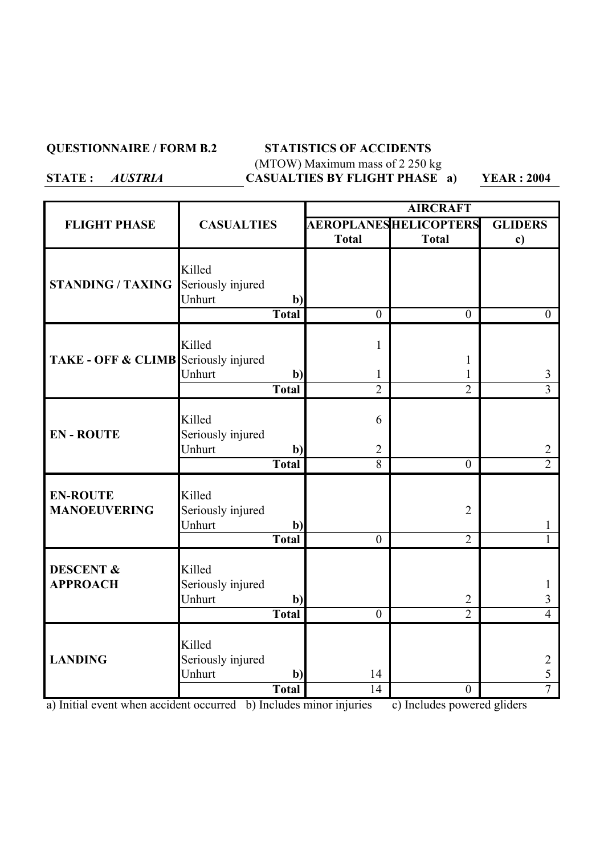## **QUESTIONNAIRE / FORM B.2 STATISTICS OF ACCIDENTS** (MTOW) Maximum mass of 2 250 kg CASUALTIES BY FLIGHT PHASE a) YEAR : 2004

|                                         |                                                                       | <b>AIRCRAFT</b>               |                                  |                          |
|-----------------------------------------|-----------------------------------------------------------------------|-------------------------------|----------------------------------|--------------------------|
| <b>FLIGHT PHASE</b>                     | <b>CASUALTIES</b>                                                     | <b>AEROPLANES HELICOPTERS</b> |                                  | <b>GLIDERS</b>           |
|                                         |                                                                       | <b>Total</b>                  | <b>Total</b>                     | $\mathbf{c})$            |
| <b>STANDING / TAXING</b>                | Killed<br>Seriously injured<br>Unhurt<br>$\mathbf{b}$<br>Total        | $\theta$                      | $\theta$                         | $\overline{0}$           |
|                                         |                                                                       |                               |                                  |                          |
| TAKE - OFF & CLIMB Seriously injured    | Killed<br>Unhurt<br>$\mathbf{b}$                                      | $\mathbf{1}$<br>1             | 1<br>1                           | 3                        |
|                                         | <b>Total</b>                                                          | $\overline{2}$                | $\overline{2}$                   | $\overline{3}$           |
|                                         |                                                                       |                               |                                  |                          |
| <b>EN-ROUTE</b>                         | Killed<br>Seriously injured<br>Unhurt<br>$\mathbf{b}$                 | 6<br>$\overline{2}$           |                                  | $\overline{2}$           |
|                                         | <b>Total</b>                                                          | $\overline{8}$                | $\overline{0}$                   | $\overline{2}$           |
| <b>EN-ROUTE</b><br><b>MANOEUVERING</b>  | Killed<br>Seriously injured<br>Unhurt<br>$\mathbf{b}$<br><b>Total</b> | $\mathbf{0}$                  | $\overline{2}$<br>$\overline{2}$ | 1                        |
| <b>DESCENT &amp;</b><br><b>APPROACH</b> | Killed<br>Seriously injured<br>Unhurt<br>$\mathbf{b}$<br>Total        | $\overline{0}$                | $\overline{2}$<br>$\overline{2}$ | 3<br>$\overline{4}$      |
| <b>LANDING</b>                          | Killed<br>Seriously injured<br>Unhurt<br>b)<br><b>Total</b>           | 14<br>14                      | $\overline{0}$                   | 2<br>5<br>$\overline{7}$ |

a) Initial event when accident occurred b) Includes minor injuries c) Includes powered gliders

*AUSTRIA*